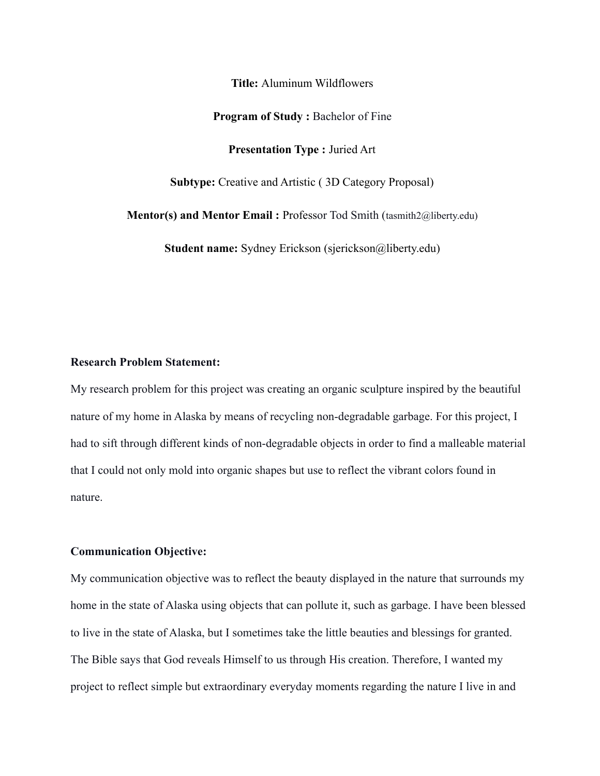**Title:** Aluminum Wildflowers

#### **Program of Study :** Bachelor of Fine

**Presentation Type :** Juried Art

**Subtype:** Creative and Artistic ( 3D Category Proposal)

**Mentor(s) and Mentor Email :** Professor Tod Smith (tasmith2@liberty.edu)

**Student name:** Sydney Erickson (sjerickson@liberty.edu)

# **Research Problem Statement:**

My research problem for this project was creating an organic sculpture inspired by the beautiful nature of my home in Alaska by means of recycling non-degradable garbage. For this project, I had to sift through different kinds of non-degradable objects in order to find a malleable material that I could not only mold into organic shapes but use to reflect the vibrant colors found in nature.

## **Communication Objective:**

My communication objective was to reflect the beauty displayed in the nature that surrounds my home in the state of Alaska using objects that can pollute it, such as garbage. I have been blessed to live in the state of Alaska, but I sometimes take the little beauties and blessings for granted. The Bible says that God reveals Himself to us through His creation. Therefore, I wanted my project to reflect simple but extraordinary everyday moments regarding the nature I live in and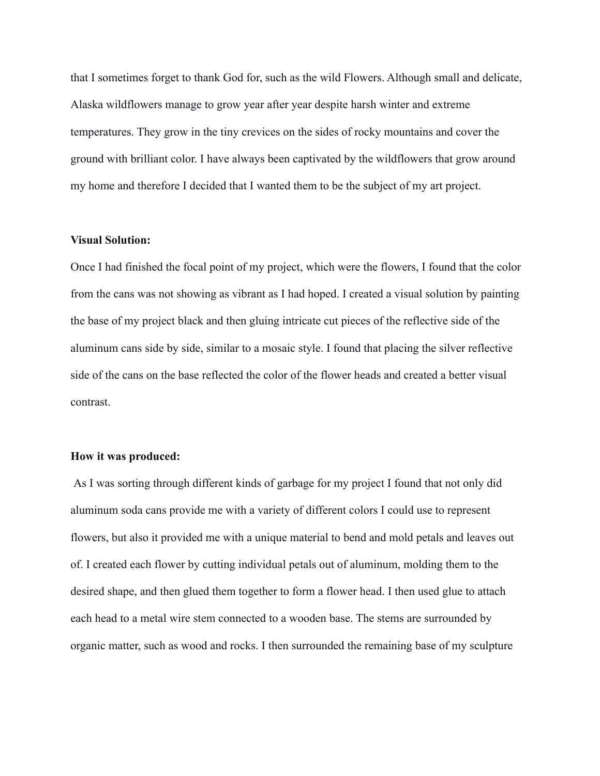that I sometimes forget to thank God for, such as the wild Flowers. Although small and delicate, Alaska wildflowers manage to grow year after year despite harsh winter and extreme temperatures. They grow in the tiny crevices on the sides of rocky mountains and cover the ground with brilliant color. I have always been captivated by the wildflowers that grow around my home and therefore I decided that I wanted them to be the subject of my art project.

#### **Visual Solution:**

Once I had finished the focal point of my project, which were the flowers, I found that the color from the cans was not showing as vibrant as I had hoped. I created a visual solution by painting the base of my project black and then gluing intricate cut pieces of the reflective side of the aluminum cans side by side, similar to a mosaic style. I found that placing the silver reflective side of the cans on the base reflected the color of the flower heads and created a better visual contrast.

## **How it was produced:**

As I was sorting through different kinds of garbage for my project I found that not only did aluminum soda cans provide me with a variety of different colors I could use to represent flowers, but also it provided me with a unique material to bend and mold petals and leaves out of. I created each flower by cutting individual petals out of aluminum, molding them to the desired shape, and then glued them together to form a flower head. I then used glue to attach each head to a metal wire stem connected to a wooden base. The stems are surrounded by organic matter, such as wood and rocks. I then surrounded the remaining base of my sculpture